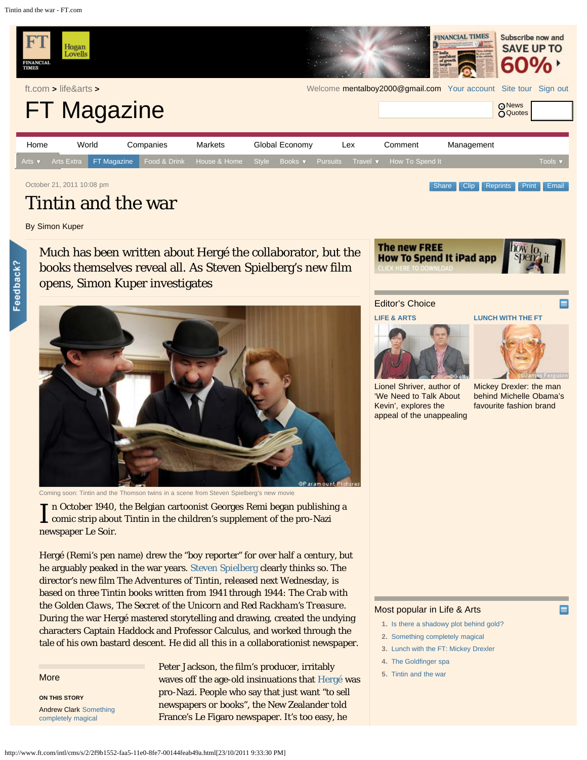<span id="page-0-0"></span>Tintin and the war - FT.com



By Simon Kuper

Feedback?

Much has been written about Hergé the collaborator, but the books themselves reveal all. As Steven Spielberg's new film opens, Simon Kuper investigates



Coming soon: Tintin and the Thomson twins in a scene from Steven Spielberg's new movie

In October 1940, the Belgian cartoonist Georges Remi began publishin<br>comic strip about Tintin in the children's supplement of the pro-Nazi n October 1940, the Belgian cartoonist Georges Remi began publishing a newspaper Le Soir.

Hergé (Remi's pen name) drew the "boy reporter" for over half a century, but he arguably peaked in the war years. [Steven Spielberg](http://www.ft.com/intl/cms/s/0/857ef350-718e-11de-a821-00144feabdc0.html#axzz1bB2fPIcz) clearly thinks so. The director's new film *The Adventures of Tintin*, released next Wednesday, is based on three Tintin books written from 1941 through 1944: *The Crab with the Golden Claws*, *The Secret of the Unicorn* and *Red Rackham's Treasure*. During the war Hergé mastered storytelling and drawing, created the undying characters Captain Haddock and Professor Calculus, and worked through the tale of his own bastard descent. He did all this in a collaborationist newspaper.

## **More**

**ON THIS STORY** Andrew Clark [Something](http://www.ft.com/cms/s/2/793470dc-faa5-11e0-8fe7-00144feab49a.html) [completely magical](http://www.ft.com/cms/s/2/793470dc-faa5-11e0-8fe7-00144feab49a.html)

Peter Jackson, the film's producer, irritably waves off the age-old insinuations that [Hergé](http://www.ft.com/intl/cms/s/2/15136c0c-58a8-11df-a0c9-00144feab49a.html#axzz1bB2fPIcz) was pro-Nazi. People who say that just want "to sell newspapers or books", the New Zealander told France's Le Figaro newspaper. It's too easy, he



## Editor's Choice

## **[LIFE & ARTS](http://www.ft.com/cms/s/2/718dd704-fb06-11e0-bebe-00144feab49a.html)**



[Lionel Shriver, author of](http://www.ft.com/cms/s/2/718dd704-fb06-11e0-bebe-00144feab49a.html) ['We Need to Talk About](http://www.ft.com/cms/s/2/718dd704-fb06-11e0-bebe-00144feab49a.html) [Kevin', explores the](http://www.ft.com/cms/s/2/718dd704-fb06-11e0-bebe-00144feab49a.html) [appeal of the unappealing](http://www.ft.com/cms/s/2/718dd704-fb06-11e0-bebe-00144feab49a.html)

**[LUNCH WITH THE FT](http://www.ft.com/cms/s/2/bcf99a3e-fb01-11e0-bebe-00144feab49a.html)**



[Mickey Drexler: the man](http://www.ft.com/cms/s/2/bcf99a3e-fb01-11e0-bebe-00144feab49a.html) [behind Michelle Obama's](http://www.ft.com/cms/s/2/bcf99a3e-fb01-11e0-bebe-00144feab49a.html) [favourite fashion brand](http://www.ft.com/cms/s/2/bcf99a3e-fb01-11e0-bebe-00144feab49a.html)

## Most popular in Life & Arts

- **1.** [Is there a shadowy plot behind gold?](http://www.ft.com/intl/cms/s/2/90effa18-faa3-11e0-8fe7-00144feab49a.html)
- **2.** [Something completely magical](http://www.ft.com/intl/cms/s/2/793470dc-faa5-11e0-8fe7-00144feab49a.html)
- **3.** [Lunch with the FT: Mickey Drexler](http://www.ft.com/intl/cms/s/2/bcf99a3e-fb01-11e0-bebe-00144feab49a.html)
- **4.** [The Goldfinger spa](http://www.ft.com/intl/cms/s/2/2841c342-f964-11e0-bf8f-00144feab49a.html)
- **5.** [Tintin and the war](#page-0-0)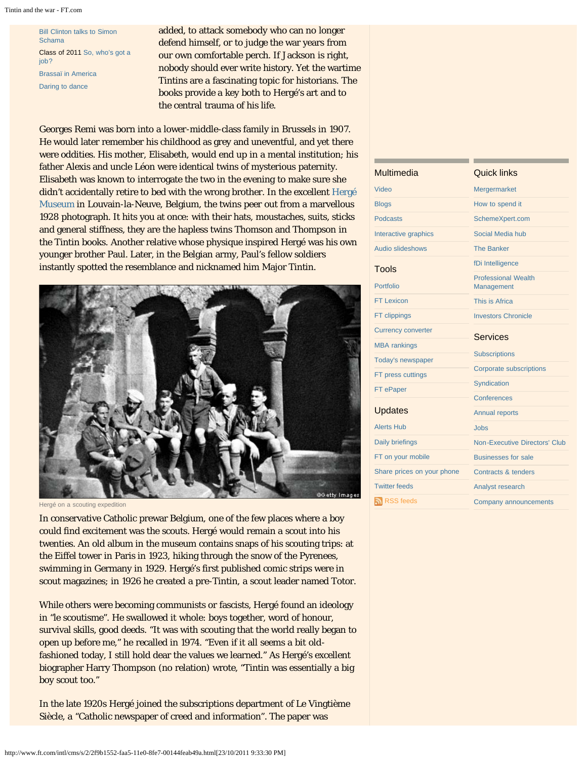[Bill Clinton talks to Simon](http://www.ft.com/cms/s/2/e0c1418c-f526-11e0-9023-00144feab49a.html) [Schama](http://www.ft.com/cms/s/2/e0c1418c-f526-11e0-9023-00144feab49a.html) Class of 2011 [So, who's got a](http://www.ft.com/cms/s/2/ec209ed4-f45d-11e0-bdea-00144feab49a.html) [job?](http://www.ft.com/cms/s/2/ec209ed4-f45d-11e0-bdea-00144feab49a.html) [Brassaï in America](http://www.ft.com/cms/s/2/832d98ec-f538-11e0-9023-00144feab49a.html) [Daring to dance](http://www.ft.com/cms/s/2/922976e0-efa7-11e0-941e-00144feab49a.html)

added, to attack somebody who can no longer defend himself, or to judge the war years from our own comfortable perch. If Jackson is right, nobody should ever write history. Yet the wartime Tintins are a fascinating topic for historians. The books provide a key both to Hergé's art and to the central trauma of his life.

Georges Remi was born into a lower-middle-class family in Brussels in 1907. He would later remember his childhood as grey and uneventful, and yet there were oddities. His mother, Elisabeth, would end up in a mental institution; his father Alexis and uncle Léon were identical twins of mysterious paternity. Elisabeth was known to interrogate the two in the evening to make sure she didn't accidentally retire to bed with the wrong brother. In the excellent [Hergé](http://www.ft.com/intl/cms/s/2/50387400-9362-11de-b146-00144feabdc0.html#axzz1bB2fPIcz) [Museum](http://www.ft.com/intl/cms/s/2/50387400-9362-11de-b146-00144feabdc0.html#axzz1bB2fPIcz) in Louvain-la-Neuve, Belgium, the twins peer out from a marvellous 1928 photograph. It hits you at once: with their hats, moustaches, suits, sticks and general stiffness, they are the hapless twins Thomson and Thompson in the Tintin books. Another relative whose physique inspired Hergé was his own younger brother Paul. Later, in the Belgian army, Paul's fellow soldiers instantly spotted the resemblance and nicknamed him Major Tintin.



Hergé on a scouting expedition

In conservative Catholic prewar Belgium, one of the few places where a boy could find excitement was the scouts. Hergé would remain a scout into his twenties. An old album in the museum contains snaps of his scouting trips: at the Eiffel tower in Paris in 1923, hiking through the snow of the Pyrenees, swimming in Germany in 1929. Hergé's first published comic strips were in scout magazines; in 1926 he created a pre-Tintin, a scout leader named Totor.

While others were becoming communists or fascists, Hergé found an ideology in *"le scoutisme"*. He swallowed it whole: boys together, word of honour, survival skills, good deeds. "It was with scouting that the world really began to open up before me," he recalled in 1974. "Even if it all seems a bit oldfashioned today, I still hold dear the values we learned." As Hergé's excellent biographer Harry Thompson (no relation) wrote, "Tintin was essentially a big boy scout too."

In the late 1920s Hergé joined the subscriptions department of Le Vingtième Siècle, a "Catholic newspaper of creed and information". The paper was

| <b>Multimedia</b>          | <b>Quick links</b>                       |  |
|----------------------------|------------------------------------------|--|
| Video                      | Mergermarket                             |  |
| <b>Blogs</b>               | How to spend it                          |  |
| <b>Podcasts</b>            | SchemeXpert.com                          |  |
| Interactive graphics       | Social Media hub                         |  |
| <b>Audio slideshows</b>    | <b>The Banker</b>                        |  |
| Tools                      | fDi Intelligence                         |  |
| Portfolio                  | <b>Professional Wealth</b><br>Management |  |
| <b>FT Lexicon</b>          | This is Africa                           |  |
| FT clippings               | <b>Investors Chronicle</b>               |  |
| <b>Currency converter</b>  | <b>Services</b>                          |  |
| <b>MBA</b> rankings        |                                          |  |
| Today's newspaper          | <b>Subscriptions</b>                     |  |
| FT press cuttings          | <b>Corporate subscriptions</b>           |  |
| FT ePaper                  | Syndication                              |  |
|                            | Conferences                              |  |
| <b>Updates</b>             | <b>Annual reports</b>                    |  |
| <b>Alerts Hub</b>          | Jobs                                     |  |
| <b>Daily briefings</b>     | <b>Non-Executive Directors' Club</b>     |  |
| FT on your mobile          | <b>Businesses for sale</b>               |  |
| Share prices on your phone | Contracts & tenders                      |  |
| <b>Twitter feeds</b>       | Analyst research                         |  |
| RSS feeds                  | Company announcements                    |  |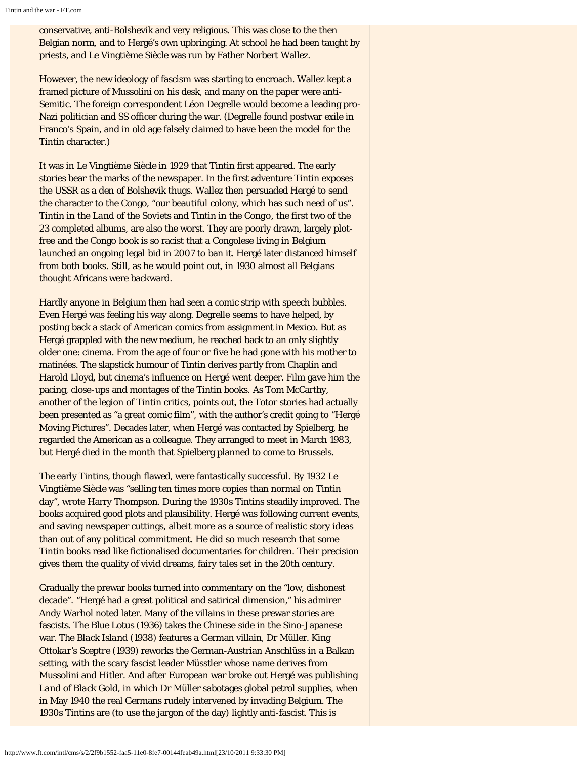conservative, anti-Bolshevik and very religious. This was close to the then Belgian norm, and to Hergé's own upbringing. At school he had been taught by priests, and Le Vingtième Siècle was run by Father Norbert Wallez.

However, the new ideology of fascism was starting to encroach. Wallez kept a framed picture of Mussolini on his desk, and many on the paper were anti-Semitic. The foreign correspondent Léon Degrelle would become a leading pro-Nazi politician and SS officer during the war. (Degrelle found postwar exile in Franco's Spain, and in old age falsely claimed to have been the model for the Tintin character.)

It was in Le Vingtième Siècle in 1929 that Tintin first appeared. The early stories bear the marks of the newspaper. In the first adventure Tintin exposes the USSR as a den of Bolshevik thugs. Wallez then persuaded Hergé to send the character to the Congo, "our beautiful colony, which has such need of us". *Tintin in the Land of the Soviets* and *Tintin in the Congo*, the first two of the 23 completed albums, are also the worst. They are poorly drawn, largely plotfree and the Congo book is so racist that a Congolese living in Belgium launched an ongoing legal bid in 2007 to ban it. Hergé later distanced himself from both books. Still, as he would point out, in 1930 almost all Belgians thought Africans were backward.

Hardly anyone in Belgium then had seen a comic strip with speech bubbles. Even Hergé was feeling his way along. Degrelle seems to have helped, by posting back a stack of American comics from assignment in Mexico. But as Hergé grappled with the new medium, he reached back to an only slightly older one: cinema. From the age of four or five he had gone with his mother to matinées. The slapstick humour of Tintin derives partly from Chaplin and Harold Lloyd, but cinema's influence on Hergé went deeper. Film gave him the pacing, close-ups and montages of the Tintin books. As Tom McCarthy, another of the legion of Tintin critics, points out, the Totor stories had actually been presented as "a great comic film", with the author's credit going to "Hergé Moving Pictures". Decades later, when Hergé was contacted by Spielberg, he regarded the American as a colleague. They arranged to meet in March 1983, but Hergé died in the month that Spielberg planned to come to Brussels.

The early Tintins, though flawed, were fantastically successful. By 1932 Le Vingtième Siècle was "selling ten times more copies than normal on Tintin day", wrote Harry Thompson. During the 1930s Tintins steadily improved. The books acquired good plots and plausibility. Hergé was following current events, and saving newspaper cuttings, albeit more as a source of realistic story ideas than out of any political commitment. He did so much research that some Tintin books read like fictionalised documentaries for children. Their precision gives them the quality of vivid dreams, fairy tales set in the 20th century.

Gradually the prewar books turned into commentary on the "low, dishonest decade". "Hergé had a great political and satirical dimension," his admirer Andy Warhol noted later. Many of the villains in these prewar stories are fascists. *The Blue Lotus* (1936) takes the Chinese side in the Sino-Japanese war. *The Black Island* (1938) features a German villain, Dr Müller. *King Ottokar's Sceptre* (1939) reworks the German-Austrian Anschlüss in a Balkan setting, with the scary fascist leader Müsstler whose name derives from Mussolini and Hitler. And after European war broke out Hergé was publishing *Land of Black Gold*, in which Dr Müller sabotages global petrol supplies, when in May 1940 the real Germans rudely intervened by invading Belgium. The 1930s Tintins are (to use the jargon of the day) lightly anti-fascist. This is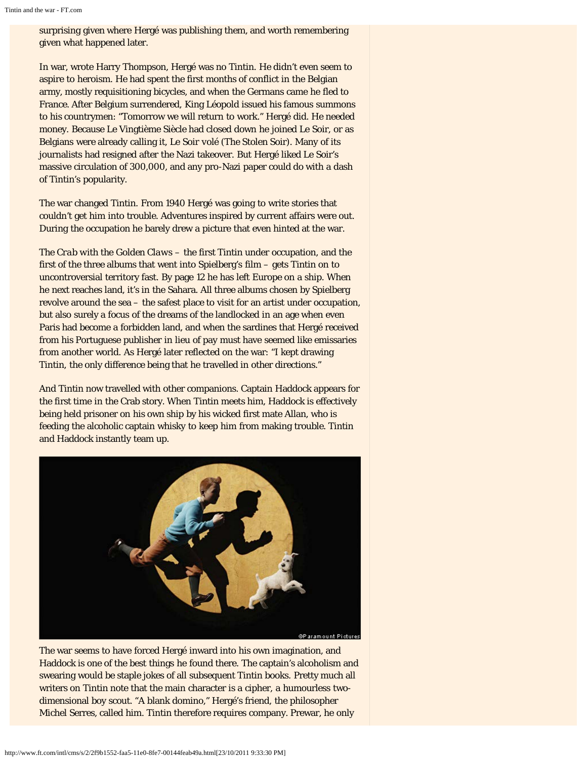surprising given where Hergé was publishing them, and worth remembering given what happened later.

In war, wrote Harry Thompson, Hergé was no Tintin. He didn't even seem to aspire to heroism. He had spent the first months of conflict in the Belgian army, mostly requisitioning bicycles, and when the Germans came he fled to France. After Belgium surrendered, King Léopold issued his famous summons to his countrymen: "Tomorrow we will return to work." Hergé did. He needed money. Because Le Vingtième Siècle had closed down he joined Le Soir, or as Belgians were already calling it, *Le Soir volé* (The Stolen Soir). Many of its journalists had resigned after the Nazi takeover. But Hergé liked Le Soir's massive circulation of 300,000, and any pro-Nazi paper could do with a dash of Tintin's popularity.

The war changed Tintin. From 1940 Hergé was going to write stories that couldn't get him into trouble. Adventures inspired by current affairs were out. During the occupation he barely drew a picture that even hinted at the war.

*The Crab with the Golden Claws* – the first Tintin under occupation, and the first of the three albums that went into Spielberg's film – gets Tintin on to uncontroversial territory fast. By page 12 he has left Europe on a ship. When he next reaches land, it's in the Sahara. All three albums chosen by Spielberg revolve around the sea – the safest place to visit for an artist under occupation, but also surely a focus of the dreams of the landlocked in an age when even Paris had become a forbidden land, and when the sardines that Hergé received from his Portuguese publisher in lieu of pay must have seemed like emissaries from another world. As Hergé later reflected on the war: "I kept drawing Tintin, the only difference being that he travelled in other directions."

And Tintin now travelled with other companions. Captain Haddock appears for the first time in the Crab story. When Tintin meets him, Haddock is effectively being held prisoner on his own ship by his wicked first mate Allan, who is feeding the alcoholic captain whisky to keep him from making trouble. Tintin and Haddock instantly team up.



The war seems to have forced Hergé inward into his own imagination, and Haddock is one of the best things he found there. The captain's alcoholism and swearing would be staple jokes of all subsequent Tintin books. Pretty much all writers on Tintin note that the main character is a cipher, a humourless twodimensional boy scout. "A blank domino," Hergé's friend, the philosopher Michel Serres, called him. Tintin therefore requires company. Prewar, he only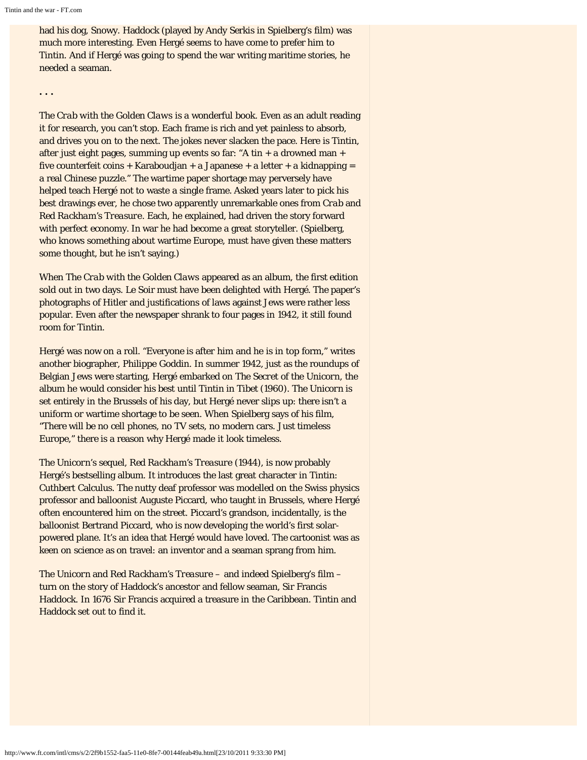had his dog, Snowy. Haddock (played by Andy Serkis in Spielberg's film) was much more interesting. Even Hergé seems to have come to prefer him to Tintin. And if Hergé was going to spend the war writing maritime stories, he needed a seaman.

**. . .**

*The Crab with the Golden Claws* is a wonderful book. Even as an adult reading it for research, you can't stop. Each frame is rich and yet painless to absorb, and drives you on to the next. The jokes never slacken the pace. Here is Tintin, after just eight pages, summing up events so far: "A tin + a drowned man + five counterfeit coins + Karaboudjan + a Japanese + a letter + a kidnapping = a real Chinese puzzle." The wartime paper shortage may perversely have helped teach Hergé not to waste a single frame. Asked years later to pick his best drawings ever, he chose two apparently unremarkable ones from *Crab* and *Red Rackham's Treasure*. Each, he explained, had driven the story forward with perfect economy. In war he had become a great storyteller. (Spielberg, who knows something about wartime Europe, must have given these matters some thought, but he isn't saying.)

When *The Crab with the Golden Claws* appeared as an album, the first edition sold out in two days. Le Soir must have been delighted with Hergé. The paper's photographs of Hitler and justifications of laws against Jews were rather less popular. Even after the newspaper shrank to four pages in 1942, it still found room for Tintin.

Hergé was now on a roll. "Everyone is after him and he is in top form," writes another biographer, Philippe Goddin. In summer 1942, just as the roundups of Belgian Jews were starting, Hergé embarked on *The Secret of the Unicorn*, the album he would consider his best until *Tintin in Tibet* (1960). *The Unicorn* is set entirely in the Brussels of his day, but Hergé never slips up: there isn't a uniform or wartime shortage to be seen. When Spielberg says of his film, "There will be no cell phones, no TV sets, no modern cars. Just timeless Europe," there is a reason why Hergé made it look timeless.

*The Unicorn*'s sequel, *Red Rackham's Treasure* (1944), is now probably Hergé's bestselling album. It introduces the last great character in Tintin: Cuthbert Calculus. The nutty deaf professor was modelled on the Swiss physics professor and balloonist Auguste Piccard, who taught in Brussels, where Hergé often encountered him on the street. Piccard's grandson, incidentally, is the balloonist Bertrand Piccard, who is now developing the world's first solarpowered plane. It's an idea that Hergé would have loved. The cartoonist was as keen on science as on travel: an inventor and a seaman sprang from him.

*The Unicorn* and *Red Rackham's Treasure* – and indeed Spielberg's film – turn on the story of Haddock's ancestor and fellow seaman, Sir Francis Haddock. In 1676 Sir Francis acquired a treasure in the Caribbean. Tintin and Haddock set out to find it.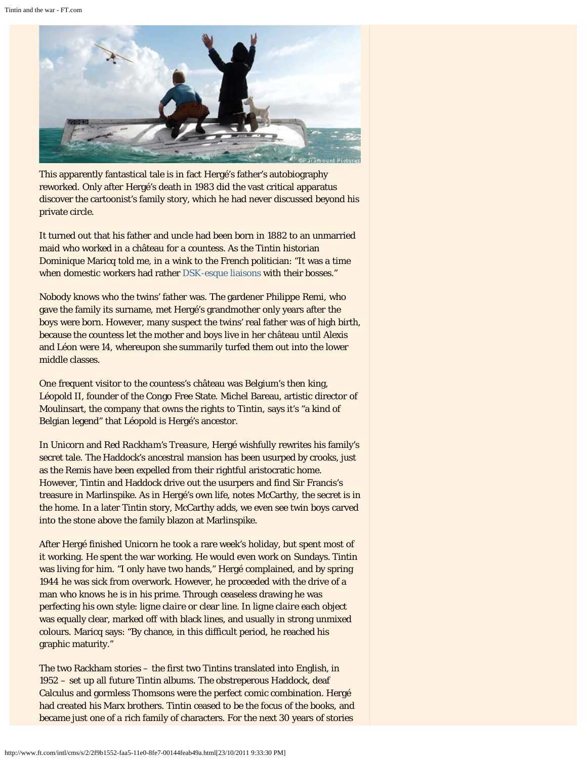

This apparently fantastical tale is in fact Hergé's father's autobiography reworked. Only after Hergé's death in 1983 did the vast critical apparatus discover the cartoonist's family story, which he had never discussed beyond his private circle.

It turned out that his father and uncle had been born in 1882 to an unmarried maid who worked in a château for a countess. As the Tintin historian Dominique Maricq told me, in a wink to the French politician: "It was a time when domestic workers had rather [DSK-esque liaisons](http://www.ft.com/intl/cms/s/0/19a8b23a-e1f6-11e0-9915-00144feabdc0.html#axzz1bB2fPIcz) with their bosses."

Nobody knows who the twins' father was. The gardener Philippe Remi, who gave the family its surname, met Hergé's grandmother only years after the boys were born. However, many suspect the twins' real father was of high birth, because the countess let the mother and boys live in her château until Alexis and Léon were 14, whereupon she summarily turfed them out into the lower middle classes.

One frequent visitor to the countess's château was Belgium's then king, Léopold II, founder of the Congo Free State. Michel Bareau, artistic director of Moulinsart, the company that owns the rights to Tintin, says it's "a kind of Belgian legend" that Léopold is Hergé's ancestor.

In *Unicorn* and *Red Rackham's Treasure*, Hergé wishfully rewrites his family's secret tale. The Haddock's ancestral mansion has been usurped by crooks, just as the Remis have been expelled from their rightful aristocratic home. However, Tintin and Haddock drive out the usurpers and find Sir Francis's treasure in Marlinspike. As in Hergé's own life, notes McCarthy, the secret is in the home. In a later Tintin story, McCarthy adds, we even see twin boys carved into the stone above the family blazon at Marlinspike.

After Hergé finished *Unicorn* he took a rare week's holiday, but spent most of it working. He spent the war working. He would even work on Sundays. Tintin was living for him. "I only have two hands," Hergé complained, and by spring 1944 he was sick from overwork. However, he proceeded with the drive of a man who knows he is in his prime. Through ceaseless drawing he was perfecting his own style: *ligne claire* or clear line. In *ligne claire* each object was equally clear, marked off with black lines, and usually in strong unmixed colours. Maricq says: "By chance, in this difficult period, he reached his graphic maturity."

The two Rackham stories – the first two Tintins translated into English, in 1952 – set up all future Tintin albums. The obstreperous Haddock, deaf Calculus and gormless Thomsons were the perfect comic combination. Hergé had created his Marx brothers. Tintin ceased to be the focus of the books, and became just one of a rich family of characters. For the next 30 years of stories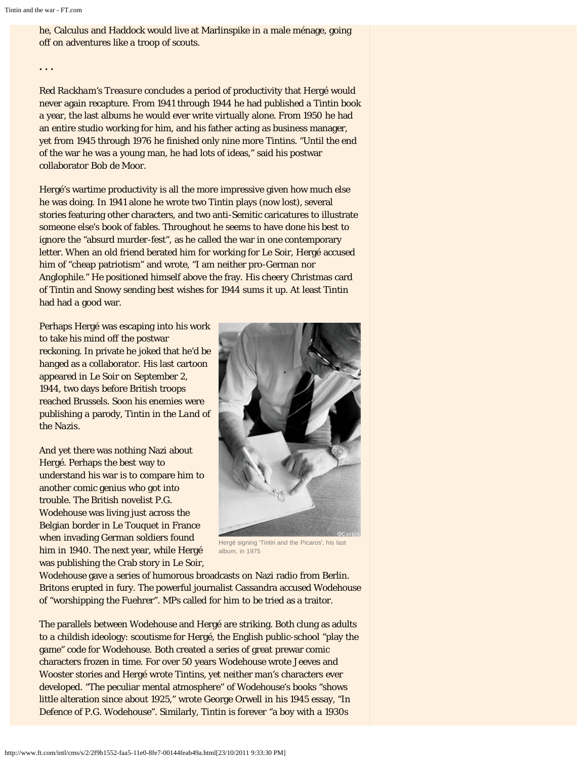he, Calculus and Haddock would live at Marlinspike in a male ménage, going off on adventures like a troop of scouts.

**. . .**

*Red Rackham's Treasure* concludes a period of productivity that Hergé would never again recapture. From 1941 through 1944 he had published a Tintin book a year, the last albums he would ever write virtually alone. From 1950 he had an entire studio working for him, and his father acting as business manager, yet from 1945 through 1976 he finished only nine more Tintins. "Until the end of the war he was a young man, he had lots of ideas," said his postwar collaborator Bob de Moor.

Hergé's wartime productivity is all the more impressive given how much else he was doing. In 1941 alone he wrote two Tintin plays (now lost), several stories featuring other characters, and two anti-Semitic caricatures to illustrate someone else's book of fables. Throughout he seems to have done his best to ignore the "absurd murder-fest", as he called the war in one contemporary letter. When an old friend berated him for working for Le Soir, Hergé accused him of "cheap patriotism" and wrote, "I am neither pro-German nor Anglophile." He positioned himself above the fray. His cheery Christmas card of Tintin and Snowy sending best wishes for 1944 sums it up. At least Tintin had had a good war.

Perhaps Hergé was escaping into his work to take his mind off the postwar reckoning. In private he joked that he'd be hanged as a collaborator. His last cartoon appeared in Le Soir on September 2, 1944, two days before British troops reached Brussels. Soon his enemies were publishing a parody, *Tintin in the Land of the Nazis*.

And yet there was nothing Nazi about Hergé. Perhaps the best way to understand his war is to compare him to another comic genius who got into trouble. The British novelist P.G. Wodehouse was living just across the Belgian border in Le Touquet in France when invading German soldiers found him in 1940. The next year, while Hergé was publishing the Crab story in Le Soir,



Hergé signing 'Tintin and the Picaros', his last album, in 1975

Wodehouse gave a series of humorous broadcasts on Nazi radio from Berlin. Britons erupted in fury. The powerful journalist Cassandra accused Wodehouse of "worshipping the Fuehrer". MPs called for him to be tried as a traitor.

The parallels between Wodehouse and Hergé are striking. Both clung as adults to a childish ideology: *scoutisme* for Hergé, the English public-school "play the game" code for Wodehouse. Both created a series of great prewar comic characters frozen in time. For over 50 years Wodehouse wrote Jeeves and Wooster stories and Hergé wrote Tintins, yet neither man's characters ever developed. "The peculiar mental atmosphere" of Wodehouse's books "shows little alteration since about 1925," wrote George Orwell in his 1945 essay, "In Defence of P.G. Wodehouse". Similarly, Tintin is forever "a boy with a 1930s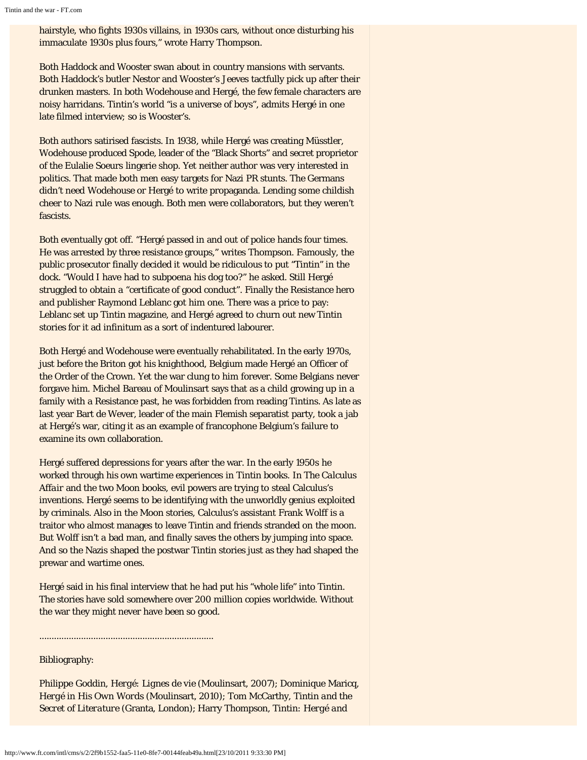hairstyle, who fights 1930s villains, in 1930s cars, without once disturbing his immaculate 1930s plus fours," wrote Harry Thompson.

Both Haddock and Wooster swan about in country mansions with servants. Both Haddock's butler Nestor and Wooster's Jeeves tactfully pick up after their drunken masters. In both Wodehouse and Hergé, the few female characters are noisy harridans. Tintin's world "is a universe of boys", admits Hergé in one late filmed interview; so is Wooster's.

Both authors satirised fascists. In 1938, while Hergé was creating Müsstler, Wodehouse produced Spode, leader of the "Black Shorts" and secret proprietor of the Eulalie Soeurs lingerie shop. Yet neither author was very interested in politics. That made both men easy targets for Nazi PR stunts. The Germans didn't need Wodehouse or Hergé to write propaganda. Lending some childish cheer to Nazi rule was enough. Both men were collaborators, but they weren't fascists.

Both eventually got off. "Hergé passed in and out of police hands four times. He was arrested by three resistance groups," writes Thompson. Famously, the public prosecutor finally decided it would be ridiculous to put "Tintin" in the dock. "Would I have had to subpoena his dog too?" he asked. Still Hergé struggled to obtain a "certificate of good conduct". Finally the Resistance hero and publisher Raymond Leblanc got him one. There was a price to pay: Leblanc set up Tintin magazine, and Hergé agreed to churn out new Tintin stories for it ad infinitum as a sort of indentured labourer.

Both Hergé and Wodehouse were eventually rehabilitated. In the early 1970s, just before the Briton got his knighthood, Belgium made Hergé an Officer of the Order of the Crown. Yet the war clung to him forever. Some Belgians never forgave him. Michel Bareau of Moulinsart says that as a child growing up in a family with a Resistance past, he was forbidden from reading Tintins. As late as last year Bart de Wever, leader of the main Flemish separatist party, took a jab at Hergé's war, citing it as an example of francophone Belgium's failure to examine its own collaboration.

Hergé suffered depressions for years after the war. In the early 1950s he worked through his own wartime experiences in Tintin books. In *The Calculus Affair* and the two Moon books, evil powers are trying to steal Calculus's inventions. Hergé seems to be identifying with the unworldly genius exploited by criminals. Also in the Moon stories, Calculus's assistant Frank Wolff is a traitor who almost manages to leave Tintin and friends stranded on the moon. But Wolff isn't a bad man, and finally saves the others by jumping into space. And so the Nazis shaped the postwar Tintin stories just as they had shaped the prewar and wartime ones.

Hergé said in his final interview that he had put his "whole life" into Tintin. The stories have sold somewhere over 200 million copies worldwide. Without the war they might never have been so good.

Bibliography:

Philippe Goddin, *Hergé: Lignes de vie* (Moulinsart, 2007); Dominique Maricq, *Hergé in His Own Words* (Moulinsart, 2010); Tom McCarthy, *Tintin and the Secret of Literature* (Granta, London); Harry Thompson, *Tintin: Hergé and*

.......................................................................